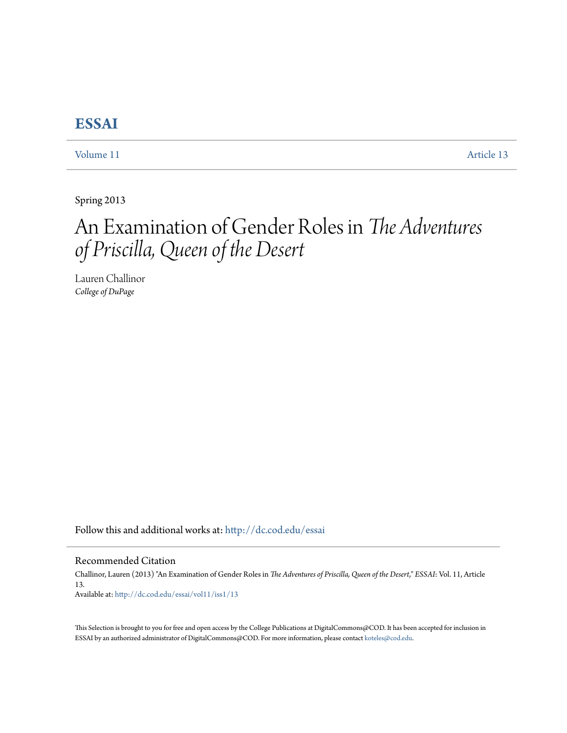# **[ESSAI](http://dc.cod.edu/essai?utm_source=dc.cod.edu%2Fessai%2Fvol11%2Fiss1%2F13&utm_medium=PDF&utm_campaign=PDFCoverPages)**

[Volume 11](http://dc.cod.edu/essai/vol11?utm_source=dc.cod.edu%2Fessai%2Fvol11%2Fiss1%2F13&utm_medium=PDF&utm_campaign=PDFCoverPages) [Article 13](http://dc.cod.edu/essai/vol11/iss1/13?utm_source=dc.cod.edu%2Fessai%2Fvol11%2Fiss1%2F13&utm_medium=PDF&utm_campaign=PDFCoverPages)

Spring 2013

# An Examination of Gender Roles in *The Adventures of Priscilla, Queen of the Desert*

Lauren Challinor *College of DuPage*

Follow this and additional works at: [http://dc.cod.edu/essai](http://dc.cod.edu/essai?utm_source=dc.cod.edu%2Fessai%2Fvol11%2Fiss1%2F13&utm_medium=PDF&utm_campaign=PDFCoverPages)

#### Recommended Citation

Challinor, Lauren (2013) "An Examination of Gender Roles in *The Adventures of Priscilla, Queen of the Desert*," *ESSAI*: Vol. 11, Article 13. Available at: [http://dc.cod.edu/essai/vol11/iss1/13](http://dc.cod.edu/essai/vol11/iss1/13?utm_source=dc.cod.edu%2Fessai%2Fvol11%2Fiss1%2F13&utm_medium=PDF&utm_campaign=PDFCoverPages)

This Selection is brought to you for free and open access by the College Publications at DigitalCommons@COD. It has been accepted for inclusion in ESSAI by an authorized administrator of DigitalCommons@COD. For more information, please contact [koteles@cod.edu](mailto:koteles@cod.edu).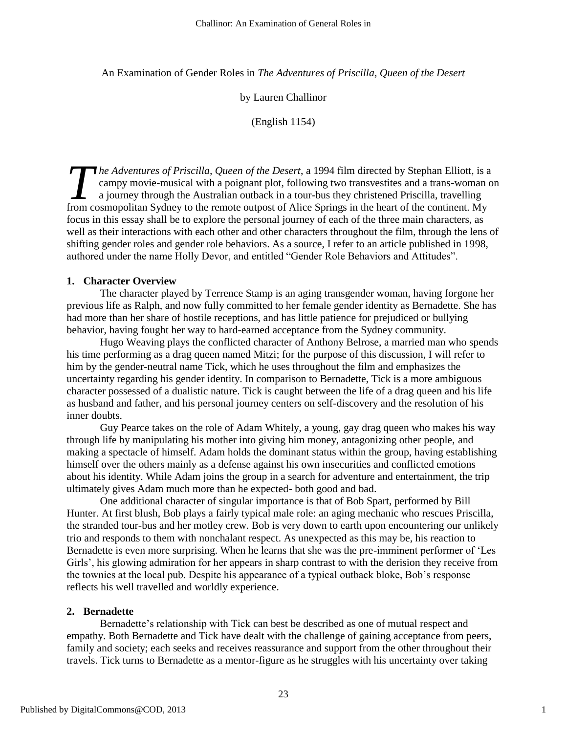An Examination of Gender Roles in *The Adventures of Priscilla, Queen of the Desert*

by Lauren Challinor

(English 1154)

*he Adventures of Priscilla, Queen of the Desert*, a 1994 film directed by Stephan Elliott, is a campy movie-musical with a poignant plot, following two transvestites and a trans-woman on a journey through the Australian outback in a tour-bus they christened Priscilla, travelling *he Adventures of Priscilla, Queen of the Desert,* a 1994 film directed by Stephan Elliott, is a campy movie-musical with a poignant plot, following two transvestites and a trans-woman a journey through the Australian outb focus in this essay shall be to explore the personal journey of each of the three main characters, as well as their interactions with each other and other characters throughout the film, through the lens of shifting gender roles and gender role behaviors. As a source, I refer to an article published in 1998, authored under the name Holly Devor, and entitled "Gender Role Behaviors and Attitudes".

## **1. Character Overview**

The character played by Terrence Stamp is an aging transgender woman, having forgone her previous life as Ralph, and now fully committed to her female gender identity as Bernadette. She has had more than her share of hostile receptions, and has little patience for prejudiced or bullying behavior, having fought her way to hard-earned acceptance from the Sydney community.

Hugo Weaving plays the conflicted character of Anthony Belrose, a married man who spends his time performing as a drag queen named Mitzi; for the purpose of this discussion, I will refer to him by the gender-neutral name Tick, which he uses throughout the film and emphasizes the uncertainty regarding his gender identity. In comparison to Bernadette, Tick is a more ambiguous character possessed of a dualistic nature. Tick is caught between the life of a drag queen and his life as husband and father, and his personal journey centers on self-discovery and the resolution of his inner doubts.

Guy Pearce takes on the role of Adam Whitely, a young, gay drag queen who makes his way through life by manipulating his mother into giving him money, antagonizing other people, and making a spectacle of himself. Adam holds the dominant status within the group, having establishing himself over the others mainly as a defense against his own insecurities and conflicted emotions about his identity. While Adam joins the group in a search for adventure and entertainment, the trip ultimately gives Adam much more than he expected- both good and bad.

One additional character of singular importance is that of Bob Spart, performed by Bill Hunter. At first blush, Bob plays a fairly typical male role: an aging mechanic who rescues Priscilla, the stranded tour-bus and her motley crew. Bob is very down to earth upon encountering our unlikely trio and responds to them with nonchalant respect. As unexpected as this may be, his reaction to Bernadette is even more surprising. When he learns that she was the pre-imminent performer of 'Les Girls', his glowing admiration for her appears in sharp contrast to with the derision they receive from the townies at the local pub. Despite his appearance of a typical outback bloke, Bob's response reflects his well travelled and worldly experience.

## **2. Bernadette**

Bernadette's relationship with Tick can best be described as one of mutual respect and empathy. Both Bernadette and Tick have dealt with the challenge of gaining acceptance from peers, family and society; each seeks and receives reassurance and support from the other throughout their travels. Tick turns to Bernadette as a mentor-figure as he struggles with his uncertainty over taking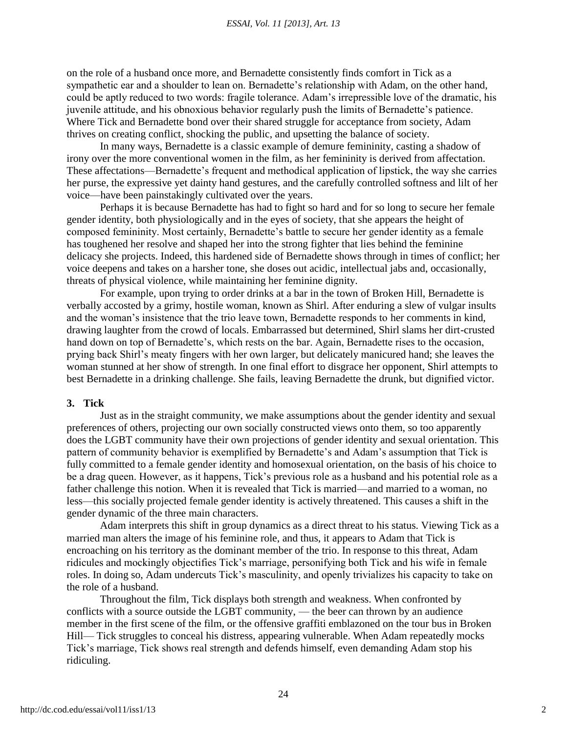on the role of a husband once more, and Bernadette consistently finds comfort in Tick as a sympathetic ear and a shoulder to lean on. Bernadette's relationship with Adam, on the other hand, could be aptly reduced to two words: fragile tolerance. Adam's irrepressible love of the dramatic, his juvenile attitude, and his obnoxious behavior regularly push the limits of Bernadette's patience. Where Tick and Bernadette bond over their shared struggle for acceptance from society, Adam thrives on creating conflict, shocking the public, and upsetting the balance of society.

In many ways, Bernadette is a classic example of demure femininity, casting a shadow of irony over the more conventional women in the film, as her femininity is derived from affectation. These affectations—Bernadette's frequent and methodical application of lipstick, the way she carries her purse, the expressive yet dainty hand gestures, and the carefully controlled softness and lilt of her voice—have been painstakingly cultivated over the years.

Perhaps it is because Bernadette has had to fight so hard and for so long to secure her female gender identity, both physiologically and in the eyes of society, that she appears the height of composed femininity. Most certainly, Bernadette's battle to secure her gender identity as a female has toughened her resolve and shaped her into the strong fighter that lies behind the feminine delicacy she projects. Indeed, this hardened side of Bernadette shows through in times of conflict; her voice deepens and takes on a harsher tone, she doses out acidic, intellectual jabs and, occasionally, threats of physical violence, while maintaining her feminine dignity.

For example, upon trying to order drinks at a bar in the town of Broken Hill, Bernadette is verbally accosted by a grimy, hostile woman, known as Shirl. After enduring a slew of vulgar insults and the woman's insistence that the trio leave town, Bernadette responds to her comments in kind, drawing laughter from the crowd of locals. Embarrassed but determined, Shirl slams her dirt-crusted hand down on top of Bernadette's, which rests on the bar. Again, Bernadette rises to the occasion, prying back Shirl's meaty fingers with her own larger, but delicately manicured hand; she leaves the woman stunned at her show of strength. In one final effort to disgrace her opponent, Shirl attempts to best Bernadette in a drinking challenge. She fails, leaving Bernadette the drunk, but dignified victor.

#### **3. Tick**

Just as in the straight community, we make assumptions about the gender identity and sexual preferences of others, projecting our own socially constructed views onto them, so too apparently does the LGBT community have their own projections of gender identity and sexual orientation. This pattern of community behavior is exemplified by Bernadette's and Adam's assumption that Tick is fully committed to a female gender identity and homosexual orientation, on the basis of his choice to be a drag queen. However, as it happens, Tick's previous role as a husband and his potential role as a father challenge this notion. When it is revealed that Tick is married—and married to a woman, no less—this socially projected female gender identity is actively threatened. This causes a shift in the gender dynamic of the three main characters.

Adam interprets this shift in group dynamics as a direct threat to his status. Viewing Tick as a married man alters the image of his feminine role, and thus, it appears to Adam that Tick is encroaching on his territory as the dominant member of the trio. In response to this threat, Adam ridicules and mockingly objectifies Tick's marriage, personifying both Tick and his wife in female roles. In doing so, Adam undercuts Tick's masculinity, and openly trivializes his capacity to take on the role of a husband.

Throughout the film, Tick displays both strength and weakness. When confronted by conflicts with a source outside the LGBT community, — the beer can thrown by an audience member in the first scene of the film, or the offensive graffiti emblazoned on the tour bus in Broken Hill— Tick struggles to conceal his distress, appearing vulnerable. When Adam repeatedly mocks Tick's marriage, Tick shows real strength and defends himself, even demanding Adam stop his ridiculing.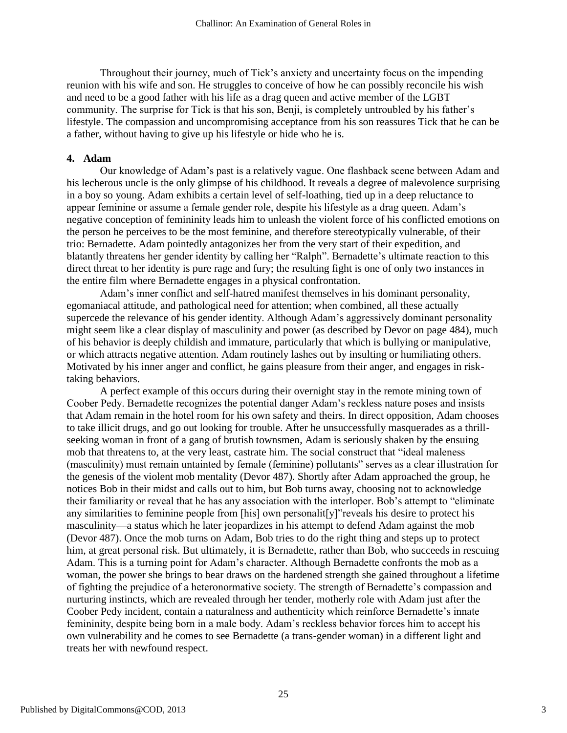Throughout their journey, much of Tick's anxiety and uncertainty focus on the impending reunion with his wife and son. He struggles to conceive of how he can possibly reconcile his wish and need to be a good father with his life as a drag queen and active member of the LGBT community. The surprise for Tick is that his son, Benji, is completely untroubled by his father's lifestyle. The compassion and uncompromising acceptance from his son reassures Tick that he can be a father, without having to give up his lifestyle or hide who he is.

## **4. Adam**

Our knowledge of Adam's past is a relatively vague. One flashback scene between Adam and his lecherous uncle is the only glimpse of his childhood. It reveals a degree of malevolence surprising in a boy so young. Adam exhibits a certain level of self-loathing, tied up in a deep reluctance to appear feminine or assume a female gender role, despite his lifestyle as a drag queen. Adam's negative conception of femininity leads him to unleash the violent force of his conflicted emotions on the person he perceives to be the most feminine, and therefore stereotypically vulnerable, of their trio: Bernadette. Adam pointedly antagonizes her from the very start of their expedition, and blatantly threatens her gender identity by calling her "Ralph". Bernadette's ultimate reaction to this direct threat to her identity is pure rage and fury; the resulting fight is one of only two instances in the entire film where Bernadette engages in a physical confrontation.

Adam's inner conflict and self-hatred manifest themselves in his dominant personality, egomaniacal attitude, and pathological need for attention; when combined, all these actually supercede the relevance of his gender identity. Although Adam's aggressively dominant personality might seem like a clear display of masculinity and power (as described by Devor on page 484), much of his behavior is deeply childish and immature, particularly that which is bullying or manipulative, or which attracts negative attention. Adam routinely lashes out by insulting or humiliating others. Motivated by his inner anger and conflict, he gains pleasure from their anger, and engages in risktaking behaviors.

A perfect example of this occurs during their overnight stay in the remote mining town of Coober Pedy. Bernadette recognizes the potential danger Adam's reckless nature poses and insists that Adam remain in the hotel room for his own safety and theirs. In direct opposition, Adam chooses to take illicit drugs, and go out looking for trouble. After he unsuccessfully masquerades as a thrillseeking woman in front of a gang of brutish townsmen, Adam is seriously shaken by the ensuing mob that threatens to, at the very least, castrate him. The social construct that "ideal maleness" (masculinity) must remain untainted by female (feminine) pollutants" serves as a clear illustration for the genesis of the violent mob mentality (Devor 487). Shortly after Adam approached the group, he notices Bob in their midst and calls out to him, but Bob turns away, choosing not to acknowledge their familiarity or reveal that he has any association with the interloper. Bob's attempt to "eliminate" any similarities to feminine people from [his] own personalit[y]" reveals his desire to protect his masculinity—a status which he later jeopardizes in his attempt to defend Adam against the mob (Devor 487). Once the mob turns on Adam, Bob tries to do the right thing and steps up to protect him, at great personal risk. But ultimately, it is Bernadette, rather than Bob, who succeeds in rescuing Adam. This is a turning point for Adam's character. Although Bernadette confronts the mob as a woman, the power she brings to bear draws on the hardened strength she gained throughout a lifetime of fighting the prejudice of a heteronormative society. The strength of Bernadette's compassion and nurturing instincts, which are revealed through her tender, motherly role with Adam just after the Coober Pedy incident, contain a naturalness and authenticity which reinforce Bernadette's innate femininity, despite being born in a male body. Adam's reckless behavior forces him to accept his own vulnerability and he comes to see Bernadette (a trans-gender woman) in a different light and treats her with newfound respect.